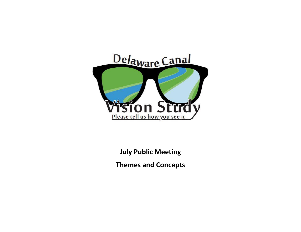

**July Public Meeting** 

**Themes and Concepts**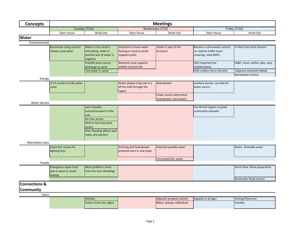| <b>Concepts</b>          |                                                                   |                                                                                                                                                                |                                                                        | <b>Meetings</b>                                         |                                                                               |                                                                                    |
|--------------------------|-------------------------------------------------------------------|----------------------------------------------------------------------------------------------------------------------------------------------------------------|------------------------------------------------------------------------|---------------------------------------------------------|-------------------------------------------------------------------------------|------------------------------------------------------------------------------------|
|                          | Tuesday (7/14)                                                    |                                                                                                                                                                | Wednesday (7/15)                                                       |                                                         | Friday (7/16)                                                                 |                                                                                    |
|                          | Open House                                                        | <b>Break Out</b>                                                                                                                                               | Open House                                                             | <b>Break Out</b>                                        | Open House                                                                    | <b>Break Out</b>                                                                   |
| Water                    |                                                                   |                                                                                                                                                                |                                                                        |                                                         |                                                                               |                                                                                    |
| Environmental            |                                                                   |                                                                                                                                                                |                                                                        |                                                         |                                                                               |                                                                                    |
|                          | <b>Businesses using canal to</b><br>release used water            | Water in the canal is<br>everything- water is<br>positive lack of water is<br>negative                                                                         | Important to have water<br>flowing in canal to avoid<br>stagnant pools | Water is part of the<br>structure                       | Become a stormwater system-<br>no riparian buffer (over<br>mowing), need BMPs | In flow from local streams                                                         |
|                          |                                                                   | Prohibit point source<br>discharge to canal<br>Test water in canal                                                                                             | Watered canal supports<br>wildlife and bird life                       |                                                         | H2O important for<br>wildlife/plants<br>H2O creates micro-climates            | F&BC-trout, catfish, pike, carp<br>Adjacent wetlands habitat<br>Stormwater control |
| Energy                   |                                                                   |                                                                                                                                                                |                                                                        |                                                         |                                                                               |                                                                                    |
|                          | 2-3 A screws to fully water<br>canal                              |                                                                                                                                                                | Water played a big role in a<br>all the mills through the<br>region    | Hydropower<br>Power source alternative-                 | auxiliary pumps- use lake for<br>water source                                 |                                                                                    |
|                          |                                                                   |                                                                                                                                                                |                                                                        | hydropower, low impact                                  |                                                                               |                                                                                    |
| <b>Water Access</b>      |                                                                   |                                                                                                                                                                |                                                                        |                                                         |                                                                               |                                                                                    |
|                          |                                                                   | Lack of public<br>access/transport to the<br>trail<br>No river access<br>Hard to find easy boat<br>access<br>River flooding affects well<br>water and aquifers |                                                                        |                                                         | Use Bristol Lagoon as good<br>community example                               |                                                                                    |
| <b>Alternative Uses</b>  |                                                                   |                                                                                                                                                                |                                                                        |                                                         |                                                                               |                                                                                    |
|                          | Important source for<br>fighting fires                            |                                                                                                                                                                | Drinking and hydropower<br>potential here in new hope                  | Potential potable water                                 |                                                                               | Water- drinkable water                                                             |
|                          |                                                                   |                                                                                                                                                                |                                                                        | Fire protection- water                                  |                                                                               |                                                                                    |
| Floods                   |                                                                   |                                                                                                                                                                |                                                                        |                                                         |                                                                               |                                                                                    |
|                          | <b>Emergency repair fund</b><br>plan in place to avoid<br>leaking | Most problems come<br>from the river (flooding)                                                                                                                |                                                                        |                                                         |                                                                               | Storm flow- flood preparation<br>Reconsider flood control                          |
| <b>Connections &amp;</b> |                                                                   |                                                                                                                                                                |                                                                        |                                                         |                                                                               |                                                                                    |
| Community                |                                                                   |                                                                                                                                                                |                                                                        |                                                         |                                                                               |                                                                                    |
| <b>Users</b>             |                                                                   |                                                                                                                                                                |                                                                        |                                                         |                                                                               |                                                                                    |
|                          |                                                                   | <b>Families</b><br>Visitors from the region                                                                                                                    |                                                                        | Adjacent property owners<br>Bikers- groups, individuals | Appeals to all ages                                                           | Visiting fisherman<br>Families                                                     |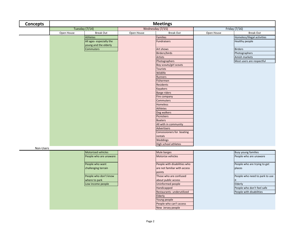| <b>Concepts</b> |            |                                                  |            | <b>Meetings</b>              |            |                                |  |
|-----------------|------------|--------------------------------------------------|------------|------------------------------|------------|--------------------------------|--|
|                 |            | Tuesday (7/14)                                   |            | Wednesday (7/15)             |            | Friday (7/16)                  |  |
|                 | Open House | <b>Break Out</b>                                 | Open House | <b>Break Out</b>             | Open House | <b>Break Out</b>               |  |
|                 |            | <b>Athletes</b>                                  |            | <b>Families</b>              |            | Homeless/illegal activities    |  |
|                 |            | All ages-especially the<br>young and the elderly |            | <b>Fundraisers</b>           |            | Healthy people                 |  |
|                 |            | <b>Commuters</b>                                 |            | Art shows                    |            | <b>Birders</b>                 |  |
|                 |            |                                                  |            | Birders/birds                |            | Photographers                  |  |
|                 |            |                                                  |            | Artists                      |            | Amish markets                  |  |
|                 |            |                                                  |            | Photographers                |            | Most users are respectful      |  |
|                 |            |                                                  |            | Boy scouts/girl scouts       |            |                                |  |
|                 |            |                                                  |            | <b>Tourists</b>              |            |                                |  |
|                 |            |                                                  |            | Wildlife                     |            |                                |  |
|                 |            |                                                  |            | <b>Runners</b>               |            |                                |  |
|                 |            |                                                  |            | Fishermen                    |            |                                |  |
|                 |            |                                                  |            | Residents                    |            |                                |  |
|                 |            |                                                  |            | <b>Kayakers</b>              |            |                                |  |
|                 |            |                                                  |            | <b>Barge riders</b>          |            |                                |  |
|                 |            |                                                  |            | Fire company                 |            |                                |  |
|                 |            |                                                  |            | Commuters                    |            |                                |  |
|                 |            |                                                  |            | Homeless                     |            |                                |  |
|                 |            |                                                  |            | Athletes                     |            |                                |  |
|                 |            |                                                  |            | Dog walkers                  |            |                                |  |
|                 |            |                                                  |            | Picnickers                   |            |                                |  |
|                 |            |                                                  |            | <b>Boaters</b>               |            |                                |  |
|                 |            |                                                  |            | All with in community        |            |                                |  |
|                 |            |                                                  |            | Advertisers                  |            |                                |  |
|                 |            |                                                  |            | Concessioners for boating    |            |                                |  |
|                 |            |                                                  |            | rentals                      |            |                                |  |
|                 |            |                                                  |            | Weddings                     |            |                                |  |
|                 |            |                                                  |            | High school athletes         |            |                                |  |
| Non-Users       |            |                                                  |            |                              |            |                                |  |
|                 |            | Motorized vehicles                               |            | Mule barges                  |            | <b>Busy young families</b>     |  |
|                 |            | People who are unaware                           |            | Motorize vehicles            |            | People who are unaware         |  |
|                 |            |                                                  |            |                              |            |                                |  |
|                 |            | People who want                                  |            | People with disabilities who |            | People who are trying to get   |  |
|                 |            | challenging terrain                              |            | are not familiar with access |            | places                         |  |
|                 |            |                                                  |            | points                       |            |                                |  |
|                 |            | People who don't know                            |            | Those who are confused       |            | People who need to park to use |  |
|                 |            | where to park                                    |            | about public access          |            | it                             |  |
|                 |            | Low income people                                |            | <b>Uninformed people</b>     |            | Elderly                        |  |
|                 |            |                                                  |            | Handicapped                  |            | People who don't feel safe     |  |
|                 |            |                                                  |            | Restaurants- underutilized   |            | People with disabilities       |  |
|                 |            |                                                  |            | Elderly                      |            |                                |  |
|                 |            |                                                  |            | Young people                 |            |                                |  |
|                 |            |                                                  |            | People who can't access      |            |                                |  |
|                 |            |                                                  |            | New Jersey people            |            |                                |  |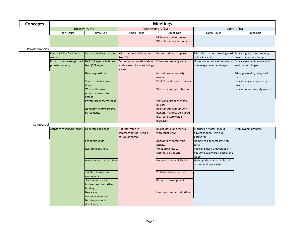| Concepts |                | <b>Meetings</b> |                  |                               |               |                  |  |  |  |  |
|----------|----------------|-----------------|------------------|-------------------------------|---------------|------------------|--|--|--|--|
|          | Tuesday (7/14) |                 | Wednesday (7/15) |                               | Friday (7/16) |                  |  |  |  |  |
|          | Open House     | Break Out       | Open House       | Break Out                     | Open House    | <b>Break Out</b> |  |  |  |  |
|          |                |                 |                  | Millennials seldom seen       |               |                  |  |  |  |  |
|          |                |                 |                  | Difficult for disabled access |               |                  |  |  |  |  |
|          |                |                 |                  |                               |               |                  |  |  |  |  |

Private Property

| Responsibility for home-      | increase real estate value | Privatization-selling water                                                         | Borders private property     | Education on not throwing yard Educating adjacent property |                                |
|-------------------------------|----------------------------|-------------------------------------------------------------------------------------|------------------------------|------------------------------------------------------------|--------------------------------|
| owners                        |                            | llike D&R                                                                           |                              | debris in canal                                            | owners-compost dump            |
| If tourists increase- protect |                            | Half of Riegelsville is farm   Better communication about   Enhances property value |                              | Home owner education on how Educate residents waste and    |                                |
| private property              | land $(1/2$ sq mi)         | land ownership-rules, bridge                                                        |                              | to manage canal landscape                                  | environment impacts            |
|                               |                            | access                                                                              |                              |                                                            |                                |
|                               | Deeds- questions           |                                                                                     | Inconsiderate property       |                                                            | Privacy- guard it, noisy trail |
|                               |                            |                                                                                     | <b>owners</b>                |                                                            | <b>Lusers</b>                  |
|                               | Some residents have        |                                                                                     | Public/private space tension |                                                            | Educate adjacent property      |
|                               | docks                      |                                                                                     |                              |                                                            | owners                         |
|                               | Work with private          |                                                                                     | Worried about privatization  |                                                            | Education for property owners  |
|                               | property owners for        |                                                                                     |                              |                                                            |                                |
|                               | access                     |                                                                                     |                              |                                                            |                                |
|                               | Private property trespass  |                                                                                     | Wet canal properties sell    |                                                            |                                |
|                               |                            |                                                                                     | quicker                      |                                                            |                                |
|                               | Need better stewardship    |                                                                                     | Relationship with private    |                                                            |                                |
|                               | by residents               |                                                                                     | owners, majority do a good   |                                                            |                                |
|                               |                            |                                                                                     | job, real estate value       |                                                            |                                |
|                               |                            |                                                                                     | increases                    |                                                            |                                |

## Commercial

| Activities at inns/brunches Generates business |                           | Not interested in        | Businesses along the trail  | Morrisville Motel- should       | Shop owners promote |
|------------------------------------------------|---------------------------|--------------------------|-----------------------------|---------------------------------|---------------------|
|                                                |                           | commercializing- keep it | with canal views            | advertise canal- it is our      |                     |
|                                                |                           | nature oriented          |                             | backyard!                       |                     |
|                                                | Economic value            |                          | Appropriate commercial      | Homestead general store on      |                     |
|                                                |                           |                          | activity                    | canal                           |                     |
|                                                | <b>Restoring business</b> |                          | What are limits to          | The canal hasn't 'developed' it |                     |
|                                                |                           |                          | commercialization?          | has gone backwards, except the  |                     |
|                                                |                           |                          |                             | lagoon                          |                     |
|                                                | over commercialized-fear  |                          | No over commercialization   | Heritage theater- ex. Cultural  |                     |
|                                                |                           |                          |                             | resource, draws visitors        |                     |
|                                                |                           |                          |                             |                                 |                     |
|                                                | Small scale restraint     |                          | Trail friendly businesses   |                                 |                     |
|                                                | commercial                |                          |                             |                                 |                     |
|                                                | Partner with local        |                          | Buffer to development       |                                 |                     |
|                                                | businesses-innovative     |                          |                             |                                 |                     |
|                                                | funding                   |                          |                             |                                 |                     |
|                                                | Beware of                 |                          | Limits of commercialization |                                 |                     |
|                                                | commercialization         |                          |                             |                                 |                     |
|                                                | Need appropriate          |                          |                             |                                 |                     |
|                                                | development               |                          |                             |                                 |                     |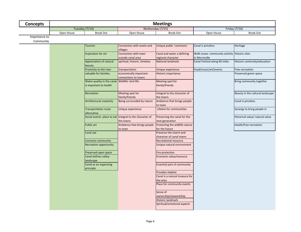| <b>Concepts</b>            | <b>Meetings</b> |                                                                          |                                                                       |                                                    |                                                                 |                                  |  |
|----------------------------|-----------------|--------------------------------------------------------------------------|-----------------------------------------------------------------------|----------------------------------------------------|-----------------------------------------------------------------|----------------------------------|--|
|                            | Tuesday (7/14)  |                                                                          |                                                                       | Wednesday (7/15)                                   |                                                                 | Friday (7/16)                    |  |
|                            | Open House      | <b>Break Out</b>                                                         | Open House                                                            | <b>Break Out</b>                                   | Open House                                                      | <b>Break Out</b>                 |  |
| Importance to<br>Community |                 |                                                                          |                                                                       |                                                    |                                                                 |                                  |  |
|                            |                 | <b>Tourism</b>                                                           | Connection with assets and<br>villages                                | Unique public 'commons'                            | Canal is priceless                                              | Heritage                         |  |
|                            |                 | Inspiration for art                                                      | Connection with town<br>outside canal area                            | Canal and water a defining<br>regional character   | Walk Levee- community activity Historic sites<br>in Morrisville |                                  |  |
|                            |                 | Appreciation of natural<br>beauty                                        | spiritual, historic, timeless                                         | <b>National landmark</b>                           | Canal Festival along 60 miles                                   | Historic continuity/education    |  |
|                            |                 | Proximity to the river                                                   | transportation                                                        | Unique experience                                  | Food/music/art/events                                           | Free recreation                  |  |
|                            |                 | valuable for families                                                    | economically important-<br>connections to towns                       | Historic importance                                |                                                                 | Preserved green space            |  |
|                            |                 | Water quality in the canal Wildlife- bird life<br>is important to health |                                                                       | Meeting spot for<br>family/friends                 |                                                                 | Bring community together         |  |
|                            |                 | Recreation                                                               | Meeting spot for<br>family/friends                                    | Integral to the character of<br>the towns          |                                                                 | Beauty in the cultural landscape |  |
|                            |                 | Architectural creativity                                                 | Being surrounded by nature                                            | Ambience that brings people<br>to town             |                                                                 | Canal is priceless               |  |
|                            |                 | <b>Transportation route</b><br>alternative                               | Unique experience                                                     | Lifeline for communities                           |                                                                 | Synergy to bring people in       |  |
|                            |                 |                                                                          | Social events- place to eat Integral to the character of<br>the towns | Preserving the canal for the<br>next generation    |                                                                 | Historical value/ natural value  |  |
|                            |                 | Public art                                                               | Ambience that brings people<br>to town                                | Protecting the wildlife nature<br>for the future   |                                                                 | Health/free recreation           |  |
|                            |                 | Local use                                                                |                                                                       | Preserve the charm and<br>character of canal towns |                                                                 |                                  |  |
|                            |                 | <b>Connects community</b>                                                |                                                                       | Recreational resource                              |                                                                 |                                  |  |
|                            |                 | <b>Recreation opportunity</b>                                            |                                                                       | Unique natural environment                         |                                                                 |                                  |  |
|                            |                 | Preserved open space                                                     |                                                                       | Fire protection                                    |                                                                 |                                  |  |
|                            |                 | Canal defines valley-<br>landscape                                       |                                                                       | Economic value/resource                            |                                                                 |                                  |  |
|                            |                 | Canal as an organizing<br>principle                                      |                                                                       | Essential part of community                        |                                                                 |                                  |  |
|                            |                 |                                                                          |                                                                       | <b>Provdies Habitat</b>                            |                                                                 |                                  |  |
|                            |                 |                                                                          |                                                                       | Canal is a natural treasure for                    |                                                                 |                                  |  |
|                            |                 |                                                                          |                                                                       | the area                                           |                                                                 |                                  |  |
|                            |                 |                                                                          |                                                                       | Place for community events                         |                                                                 |                                  |  |
|                            |                 |                                                                          |                                                                       | Sense of<br>ownership/stewardship                  |                                                                 |                                  |  |
|                            |                 |                                                                          |                                                                       | Historic landmark<br>Spiritual/emotional aspects   |                                                                 |                                  |  |
|                            |                 |                                                                          |                                                                       |                                                    |                                                                 |                                  |  |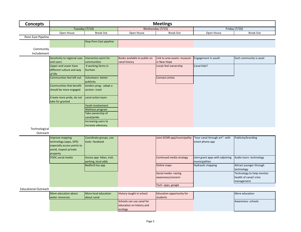| <b>Concepts</b>             |                                           |                                          |                              | <b>Meetings</b>                      |                                 |                            |
|-----------------------------|-------------------------------------------|------------------------------------------|------------------------------|--------------------------------------|---------------------------------|----------------------------|
|                             | Tuesday (7/14)                            |                                          |                              | Wednesday (7/15)                     |                                 | Friday (7/16)              |
|                             | Open House                                | <b>Break Out</b>                         | Open House                   | <b>Break Out</b>                     | Open House                      | <b>Break Out</b>           |
| Penn East Pipeline          |                                           |                                          |                              |                                      |                                 |                            |
|                             |                                           | <b>Stop Penn East pipeline</b>           |                              |                                      |                                 |                            |
|                             |                                           |                                          |                              |                                      |                                 |                            |
| Community<br>Includement    |                                           |                                          |                              |                                      |                                 |                            |
|                             |                                           |                                          |                              |                                      |                                 |                            |
|                             | Sensitivity to regional uses<br>and users | Interaction point for<br>communities     | Books available to public on | Link to area assets- museum          | Engagement in youth             | Each community is asset    |
|                             | <b>Upper and Lower have</b>               | 9 working farms in                       | canal history                | in New Hope<br>Locals feel ownership | Canal Kids?                     |                            |
|                             | different culture and way                 | Durham                                   |                              |                                      |                                 |                            |
|                             | of life                                   |                                          |                              |                                      |                                 |                            |
|                             | Communities feel left out                 | Volunteers- better                       |                              | <b>Connect artists</b>               |                                 |                            |
|                             |                                           | publicity                                |                              |                                      |                                 |                            |
|                             | Communities that benefit                  | tenders prog .- adopt a                  |                              |                                      |                                 |                            |
|                             | should be more engaged                    | section-trash                            |                              |                                      |                                 |                            |
|                             |                                           |                                          |                              |                                      |                                 |                            |
|                             | Create more pride, do not                 | canal action team                        |                              |                                      |                                 |                            |
|                             | take for granted                          |                                          |                              |                                      |                                 |                            |
|                             |                                           | Youth involvement                        |                              |                                      |                                 |                            |
|                             |                                           | Wellness program                         |                              |                                      |                                 |                            |
|                             |                                           | Take ownership of                        |                              |                                      |                                 |                            |
|                             |                                           | canal/pride                              |                              |                                      |                                 |                            |
|                             |                                           | Increasing users to<br>increase advocacy |                              |                                      |                                 |                            |
| Technological               |                                           |                                          |                              |                                      |                                 |                            |
| Outreach                    |                                           |                                          |                              |                                      |                                 |                            |
|                             | Improve mapping                           | Coordinate groups, use                   |                              | Joint DCNR app/municipality-         | 'tour canal through art"- with  | Publicity/branding         |
|                             | technology (apps, GPS)                    | tools-facebook                           |                              |                                      | smart phone app                 |                            |
|                             | especially access points to               |                                          |                              |                                      |                                 |                            |
|                             | avoid, respect private                    |                                          |                              |                                      |                                 |                            |
|                             | property                                  |                                          |                              |                                      |                                 |                            |
|                             | <b>FODC</b> social media                  | Access app- bikes, trail,                |                              | Continued media strategy             | Joint grant apps with adjoining | Audio tours-technology     |
|                             |                                           | parking, local adds                      |                              |                                      | municipalities                  |                            |
|                             |                                           | Bedford has app                          |                              | Online maps                          | Hydraulic mapping               | Attract younger through    |
|                             |                                           |                                          |                              |                                      |                                 | technology                 |
|                             |                                           |                                          |                              | Social media-raising                 |                                 | Technology to help monitor |
|                             |                                           |                                          |                              | awareness/concern                    |                                 | health of canal/ crisis    |
|                             |                                           |                                          |                              |                                      |                                 | management                 |
| <b>Educational Outreach</b> |                                           |                                          |                              | Tech- apps, google                   |                                 |                            |
|                             | More education about                      | More local education                     | History taught in school     | Education opportunity for            |                                 | More education             |

| More education about | More local education | <b>History taught in school</b> | Education opportunity for | More education    |
|----------------------|----------------------|---------------------------------|---------------------------|-------------------|
| water resources      | labout canal         |                                 | <b>students</b>           |                   |
|                      |                      | Schools can use canal for       |                           | Awareness-schools |
|                      |                      | leducation on history and       |                           |                   |
|                      |                      | ecology                         |                           |                   |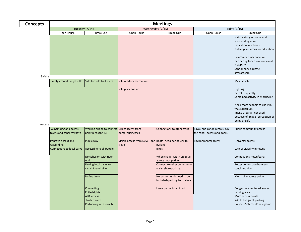| <b>Concepts</b> |                                  | <b>Meetings</b>           |                         |                  |               |                                               |  |
|-----------------|----------------------------------|---------------------------|-------------------------|------------------|---------------|-----------------------------------------------|--|
|                 | Tuesday (7/14)                   |                           | Wednesday (7/15)        |                  | Friday (7/16) |                                               |  |
|                 | Open House                       | <b>Break Out</b>          | Open House              | <b>Break Out</b> | Open House    | <b>Break Out</b>                              |  |
|                 |                                  |                           |                         |                  |               | Nature study on canal and<br>surrounding area |  |
|                 |                                  |                           |                         |                  |               | <b>Education in schools</b>                   |  |
|                 |                                  |                           |                         |                  |               | Native plant areas for education              |  |
|                 |                                  |                           |                         |                  |               | Environmental education                       |  |
|                 |                                  |                           |                         |                  |               | Partnering for education-canal                |  |
|                 |                                  |                           |                         |                  |               | & culture                                     |  |
|                 |                                  |                           |                         |                  |               | School-park-educate                           |  |
|                 |                                  |                           |                         |                  |               | stewardship                                   |  |
| Safety          |                                  |                           |                         |                  |               |                                               |  |
|                 | <b>Empty around Riegelsville</b> | Safe for solo trail users | safe outdoor recreation |                  |               | Make it safe                                  |  |
|                 |                                  |                           | safe place for kids     |                  |               | Lighting                                      |  |
|                 |                                  |                           |                         |                  |               | Patrol frequently                             |  |
|                 |                                  |                           |                         |                  |               | Some bad activity in Morrisville              |  |
|                 |                                  |                           |                         |                  |               | Need more schools to use it in                |  |
|                 |                                  |                           |                         |                  |               | the curriculum                                |  |
|                 |                                  |                           |                         |                  |               | Image of canal- not used                      |  |
|                 |                                  |                           |                         |                  |               | because of image- perception of               |  |
|                 |                                  |                           |                         |                  |               | being unsafe                                  |  |
| Access          |                                  |                           |                         |                  |               |                                               |  |

| Wayfinding and access      | Walking bridge to connect Direct access from |                                                        | Connections to other trails    | Kayak and canoe rentals-ON  | Public community access         |
|----------------------------|----------------------------------------------|--------------------------------------------------------|--------------------------------|-----------------------------|---------------------------------|
| towns and canal towpath    | point pleasant-NJ                            | home/businesses                                        |                                | the canal- access and docks |                                 |
|                            |                                              |                                                        |                                |                             |                                 |
| Improve access and         | Public way                                   | Visible access from New Hope Boats- need periodic with |                                | <b>Environmental access</b> | Universal access                |
| wayfinding                 |                                              | (signs)                                                | parking                        |                             |                                 |
| Connections to local parks | Accessible to all people                     |                                                        | <b>Bikes</b>                   |                             | Lack of visibility in towns     |
|                            |                                              |                                                        |                                |                             |                                 |
|                            | No cohesion with river                       |                                                        | Wheelchairs- width an issue,   |                             | Connections-town/canal          |
|                            | <b>Itrail</b>                                |                                                        | access near parking            |                             |                                 |
|                            | Linking local parks to                       |                                                        | Connect to other community     |                             | Better connection between       |
|                            | canal-Riegelsville                           |                                                        | trails-share parking           |                             | canal and river                 |
|                            |                                              |                                                        |                                |                             |                                 |
|                            | Define limits                                |                                                        | Horses- on trail- need to be   |                             | Morrisville access points       |
|                            |                                              |                                                        | included- parking for trailers |                             |                                 |
|                            |                                              |                                                        |                                |                             |                                 |
|                            | Connecting to                                |                                                        | Linear park-links circuit      |                             | Congestion- centered around     |
|                            | Philadelphia                                 |                                                        |                                |                             | parking area                    |
|                            | <b>ADA</b> access                            |                                                        |                                |                             | More access points              |
|                            | stroller access                              |                                                        |                                |                             | WCHP has great parking          |
|                            | Partnering with local bus                    |                                                        |                                |                             | Culverts 'interrupt' navigation |
|                            |                                              |                                                        |                                |                             |                                 |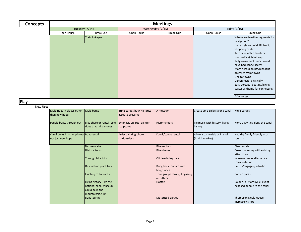| Concepts | <b>Meetings</b> |                  |                  |                  |               |                                                                                                                                                                                                                                                                                                                                                                                   |
|----------|-----------------|------------------|------------------|------------------|---------------|-----------------------------------------------------------------------------------------------------------------------------------------------------------------------------------------------------------------------------------------------------------------------------------------------------------------------------------------------------------------------------------|
|          | Tuesday (7/14)  |                  | Wednesday (7/15) |                  | Friday (7/16) |                                                                                                                                                                                                                                                                                                                                                                                   |
|          | Open House      | <b>Break Out</b> | Open House       | <b>Break Out</b> | Open House    | <b>Break Out</b>                                                                                                                                                                                                                                                                                                                                                                  |
|          |                 | Trail-linkages   |                  |                  |               | Where are feasible segments for<br>navigation?<br>Gaps- Tyburn Road, RR track,<br>Shopping center<br>Access to water-boaters<br>(ramp/dock), handicap<br>Tullytown canal tunnel could<br>have had canoe access<br>More access points/highlight<br>accesses from towns<br>Link to towns<br>Disconnects-physically<br>Easy portage- boating/biking<br>Water as theme for connecting |
|          |                 |                  |                  |                  |               | ADA access                                                                                                                                                                                                                                                                                                                                                                        |

**Play**

New Uses

| Mule barge<br>Mule barges<br>Mule rides in places other<br>Bring barges back Historical<br>Create art displays along canal<br>A museum<br>than new hope<br>asset to preserve<br>Paddle boats through out<br>Bike share or rental- bike<br>Tie music with history-living<br>Emphasis on arts-painter,<br><b>Historic tours</b><br>rides that raise money<br>sculptures<br>history<br>Kayak/canoe rental<br>Canal boats in other places-Boat rental<br>Allow a barge ride at Bristol<br>Artist painting photo<br>(Amish market)<br>station/deck<br>not just new hope<br>tourism<br>Nature walks<br><b>Bike rentals</b><br><b>Bike rentals</b><br><b>Bike shares</b><br><b>Historic tours</b><br>attractions<br>Through bike trips<br>Off leash dog park<br>transportation<br>Bring back tourism with<br>Destination point tours<br>barge rides<br>Floating restaurants<br>Tour groups, biking, kayaking<br>Pop up parks<br>outfitters<br>Living history-like the<br><b>Hostels</b><br>national canal museum,<br>could be in the<br>Imountainside inn<br><b>Motorized barges</b><br><b>Boat touring</b> |  |  |  |                                                              |
|------------------------------------------------------------------------------------------------------------------------------------------------------------------------------------------------------------------------------------------------------------------------------------------------------------------------------------------------------------------------------------------------------------------------------------------------------------------------------------------------------------------------------------------------------------------------------------------------------------------------------------------------------------------------------------------------------------------------------------------------------------------------------------------------------------------------------------------------------------------------------------------------------------------------------------------------------------------------------------------------------------------------------------------------------------------------------------------------------|--|--|--|--------------------------------------------------------------|
|                                                                                                                                                                                                                                                                                                                                                                                                                                                                                                                                                                                                                                                                                                                                                                                                                                                                                                                                                                                                                                                                                                      |  |  |  |                                                              |
|                                                                                                                                                                                                                                                                                                                                                                                                                                                                                                                                                                                                                                                                                                                                                                                                                                                                                                                                                                                                                                                                                                      |  |  |  | More activities along the canal                              |
|                                                                                                                                                                                                                                                                                                                                                                                                                                                                                                                                                                                                                                                                                                                                                                                                                                                                                                                                                                                                                                                                                                      |  |  |  | Healthy family friendly eco-                                 |
|                                                                                                                                                                                                                                                                                                                                                                                                                                                                                                                                                                                                                                                                                                                                                                                                                                                                                                                                                                                                                                                                                                      |  |  |  |                                                              |
|                                                                                                                                                                                                                                                                                                                                                                                                                                                                                                                                                                                                                                                                                                                                                                                                                                                                                                                                                                                                                                                                                                      |  |  |  | Cross marketing with existing                                |
|                                                                                                                                                                                                                                                                                                                                                                                                                                                                                                                                                                                                                                                                                                                                                                                                                                                                                                                                                                                                                                                                                                      |  |  |  | Increase use as alternative                                  |
|                                                                                                                                                                                                                                                                                                                                                                                                                                                                                                                                                                                                                                                                                                                                                                                                                                                                                                                                                                                                                                                                                                      |  |  |  | Events/engaging activities                                   |
|                                                                                                                                                                                                                                                                                                                                                                                                                                                                                                                                                                                                                                                                                                                                                                                                                                                                                                                                                                                                                                                                                                      |  |  |  |                                                              |
|                                                                                                                                                                                                                                                                                                                                                                                                                                                                                                                                                                                                                                                                                                                                                                                                                                                                                                                                                                                                                                                                                                      |  |  |  | Color run- Morrisville, event<br>exposed people to the canal |
|                                                                                                                                                                                                                                                                                                                                                                                                                                                                                                                                                                                                                                                                                                                                                                                                                                                                                                                                                                                                                                                                                                      |  |  |  | Thompson Neely House-<br>increase visitors                   |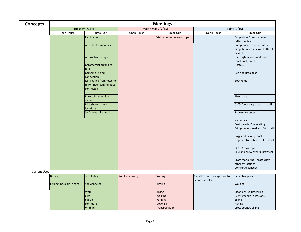| <b>Concepts</b> |            |                                                                  |            | <b>Meetings</b>            |            |                                                                        |
|-----------------|------------|------------------------------------------------------------------|------------|----------------------------|------------|------------------------------------------------------------------------|
|                 |            | Tuesday (7/14)                                                   |            | Wednesday (7/15)           |            | Friday (7/16)                                                          |
|                 | Open House | <b>Break Out</b>                                                 | Open House | <b>Break Out</b>           | Open House | <b>Break Out</b>                                                       |
|                 |            | Picnic areas                                                     |            | Visitor center in New Hope |            | Barge ride- Green Lane to<br>Jefferson Ave                             |
|                 |            | Affordable amenities                                             |            |                            |            | Bump bridge- opened when<br>barge bumped it, closed after it<br>passed |
|                 |            | Alternative energy                                               |            |                            |            | Overnight accommodations-<br>canal boat, hotel                         |
|                 |            | Commercial organized<br>tour                                     |            |                            |            | Hostels                                                                |
|                 |            | Camping- island<br>connection                                    |            |                            |            | <b>Bed and Breakfast</b>                                               |
|                 |            | Ice- skating from town to<br>town-river communities<br>connected |            |                            |            | <b>Boat rental</b>                                                     |
|                 |            | <b>Entertainment along</b><br>canal                              |            |                            |            | <b>Bike share</b>                                                      |
|                 |            | Bike share to new<br>locations                                   |            |                            |            | Café-food-easy access to trail                                         |
|                 |            | Self-serve bike and boat                                         |            |                            |            | Snowman contest                                                        |
|                 |            |                                                                  |            |                            |            | Ice festival                                                           |
|                 |            |                                                                  |            |                            |            | Boat parades/decorating                                                |
|                 |            |                                                                  |            |                            |            | Bridges over canal and D&L trail                                       |
|                 |            |                                                                  |            |                            |            | Buggy ride along canal                                                 |
|                 |            |                                                                  |            |                            |            | Organize trips- bikes, hike, kayak                                     |
|                 |            |                                                                  |            |                            |            | <b>BCCUB- bus trips</b>                                                |
|                 |            |                                                                  |            |                            |            | Bike and brew events- brew call                                        |
|                 |            |                                                                  |            |                            |            | Cross marketing - ecotourism,<br>other attractions                     |
|                 |            |                                                                  |            |                            |            | Concierge concept                                                      |

## Current Uses

| <b>Birding</b>             | ce skating      | <b>Wildlife viewing</b> | <b>Skating</b> | Canal Fest is first exposure to | Reflective place            |
|----------------------------|-----------------|-------------------------|----------------|---------------------------------|-----------------------------|
|                            |                 |                         |                | canoes/kayaks                   |                             |
| Fishing- possible in canal | Snowshoeing     |                         | Birding        |                                 | <b>Walking</b>              |
|                            |                 |                         |                |                                 |                             |
|                            | <b>Walk</b>     |                         | <b>Biking</b>  |                                 | Clean ups/volunteering      |
|                            | bike            |                         | <b>Walking</b> |                                 | Events/special occasions    |
|                            | paddle          |                         | Running        |                                 | <b>Biking</b>               |
|                            | <b>commute</b>  |                         | Dogwalk        |                                 | Fishing                     |
|                            | <b>Wildlife</b> |                         | Transportation |                                 | <b>Cross country skiing</b> |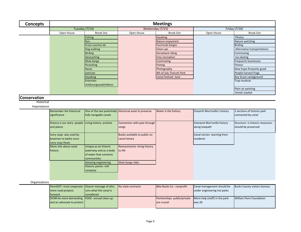| Tuesday (7/14)<br>Open House                | <b>Break Out</b><br>Fishing<br>Run<br>Cross country ski<br>Dog walking<br>Birding<br>Geocaching<br>Mule barge<br>Picnicking<br>Races<br>exercise<br>Kayaking<br>Entertain | Wednesday (7/15)<br>Open House                                                                                                                                                                                                                                        | <b>Break Out</b><br><b>Kayaking</b><br>Nature enjoyment<br>Fun/mule barges<br>Clean ups<br>Horseback riding<br>Free recreation<br>Commuting<br><b>Fishing</b><br>Photography<br>4th of July Tinicum Park | Open House                    | Friday (7/16)<br><b>Break Out</b><br>Photos<br>Nature watching<br><b>Birding</b><br>Alternative transportations<br>Commuting<br>Ice-skating<br><b>Frequents businesses</b><br><b>Fitness</b><br>New hope fireworks good |
|---------------------------------------------|---------------------------------------------------------------------------------------------------------------------------------------------------------------------------|-----------------------------------------------------------------------------------------------------------------------------------------------------------------------------------------------------------------------------------------------------------------------|----------------------------------------------------------------------------------------------------------------------------------------------------------------------------------------------------------|-------------------------------|-------------------------------------------------------------------------------------------------------------------------------------------------------------------------------------------------------------------------|
|                                             |                                                                                                                                                                           |                                                                                                                                                                                                                                                                       |                                                                                                                                                                                                          |                               |                                                                                                                                                                                                                         |
|                                             |                                                                                                                                                                           |                                                                                                                                                                                                                                                                       |                                                                                                                                                                                                          |                               |                                                                                                                                                                                                                         |
|                                             |                                                                                                                                                                           |                                                                                                                                                                                                                                                                       |                                                                                                                                                                                                          |                               |                                                                                                                                                                                                                         |
|                                             |                                                                                                                                                                           |                                                                                                                                                                                                                                                                       |                                                                                                                                                                                                          |                               |                                                                                                                                                                                                                         |
|                                             |                                                                                                                                                                           |                                                                                                                                                                                                                                                                       |                                                                                                                                                                                                          |                               |                                                                                                                                                                                                                         |
|                                             |                                                                                                                                                                           |                                                                                                                                                                                                                                                                       |                                                                                                                                                                                                          |                               |                                                                                                                                                                                                                         |
|                                             |                                                                                                                                                                           |                                                                                                                                                                                                                                                                       |                                                                                                                                                                                                          |                               |                                                                                                                                                                                                                         |
|                                             |                                                                                                                                                                           |                                                                                                                                                                                                                                                                       |                                                                                                                                                                                                          |                               |                                                                                                                                                                                                                         |
|                                             |                                                                                                                                                                           |                                                                                                                                                                                                                                                                       |                                                                                                                                                                                                          |                               |                                                                                                                                                                                                                         |
|                                             |                                                                                                                                                                           |                                                                                                                                                                                                                                                                       |                                                                                                                                                                                                          |                               |                                                                                                                                                                                                                         |
|                                             |                                                                                                                                                                           |                                                                                                                                                                                                                                                                       |                                                                                                                                                                                                          |                               |                                                                                                                                                                                                                         |
|                                             |                                                                                                                                                                           |                                                                                                                                                                                                                                                                       |                                                                                                                                                                                                          |                               | People harvest frogs                                                                                                                                                                                                    |
|                                             |                                                                                                                                                                           |                                                                                                                                                                                                                                                                       | Canal Festival- June                                                                                                                                                                                     |                               | <b>Boy Scout campground</b>                                                                                                                                                                                             |
|                                             |                                                                                                                                                                           |                                                                                                                                                                                                                                                                       |                                                                                                                                                                                                          |                               | Trap muskrat                                                                                                                                                                                                            |
|                                             | children/grandchildren                                                                                                                                                    |                                                                                                                                                                                                                                                                       |                                                                                                                                                                                                          |                               |                                                                                                                                                                                                                         |
|                                             |                                                                                                                                                                           |                                                                                                                                                                                                                                                                       |                                                                                                                                                                                                          |                               | Plein air painting                                                                                                                                                                                                      |
|                                             |                                                                                                                                                                           |                                                                                                                                                                                                                                                                       |                                                                                                                                                                                                          |                               | Amish market                                                                                                                                                                                                            |
| Remember the historical                     |                                                                                                                                                                           |                                                                                                                                                                                                                                                                       |                                                                                                                                                                                                          | Unearth Morrisville's history | 2 sections of historic park                                                                                                                                                                                             |
| significance                                |                                                                                                                                                                           |                                                                                                                                                                                                                                                                       |                                                                                                                                                                                                          |                               | connected by canal                                                                                                                                                                                                      |
|                                             |                                                                                                                                                                           | Connection with past through                                                                                                                                                                                                                                          |                                                                                                                                                                                                          | Interpret Morrisville history | Structure- is historic resources-                                                                                                                                                                                       |
| and places                                  |                                                                                                                                                                           | songs                                                                                                                                                                                                                                                                 |                                                                                                                                                                                                          | along towpath                 | should be preserved                                                                                                                                                                                                     |
| Ivory soap- was used by                     |                                                                                                                                                                           | Books available to public on                                                                                                                                                                                                                                          |                                                                                                                                                                                                          | Canal stories-learning from   |                                                                                                                                                                                                                         |
| boatman to bathe since<br>ivory soap floats |                                                                                                                                                                           |                                                                                                                                                                                                                                                                       |                                                                                                                                                                                                          | residents                     |                                                                                                                                                                                                                         |
| More info about canal                       |                                                                                                                                                                           | Reenactments- bring history                                                                                                                                                                                                                                           |                                                                                                                                                                                                          |                               |                                                                                                                                                                                                                         |
| history                                     |                                                                                                                                                                           | to life                                                                                                                                                                                                                                                               |                                                                                                                                                                                                          |                               |                                                                                                                                                                                                                         |
|                                             |                                                                                                                                                                           |                                                                                                                                                                                                                                                                       |                                                                                                                                                                                                          |                               |                                                                                                                                                                                                                         |
|                                             |                                                                                                                                                                           |                                                                                                                                                                                                                                                                       |                                                                                                                                                                                                          |                               |                                                                                                                                                                                                                         |
|                                             |                                                                                                                                                                           | Mule barge rides                                                                                                                                                                                                                                                      |                                                                                                                                                                                                          |                               |                                                                                                                                                                                                                         |
|                                             |                                                                                                                                                                           |                                                                                                                                                                                                                                                                       |                                                                                                                                                                                                          |                               |                                                                                                                                                                                                                         |
|                                             |                                                                                                                                                                           |                                                                                                                                                                                                                                                                       |                                                                                                                                                                                                          |                               |                                                                                                                                                                                                                         |
|                                             |                                                                                                                                                                           |                                                                                                                                                                                                                                                                       |                                                                                                                                                                                                          |                               |                                                                                                                                                                                                                         |
|                                             |                                                                                                                                                                           | One of the last potentially<br>fully navigable canals<br>History is our story- people Living history- pristine<br>Unique as an historic<br>waterway and as a body<br>of water that connects<br>communities<br>Amazing engineering<br>Historic points- mill<br>company | Historical asset to preserve<br>canal history                                                                                                                                                            | Water is the history          |                                                                                                                                                                                                                         |

# Organizations

| PennDOT- must cooperate- Clearer message of who |                                | No state contracts | Bike Bucks Co.- nonprofit                                  | Canal management should be  | Bucks County visitors bureau |
|-------------------------------------------------|--------------------------------|--------------------|------------------------------------------------------------|-----------------------------|------------------------------|
| more road projects                              | <b>Iruns what the canal is</b> |                    |                                                            | under engineering not parks |                              |
| forward                                         | considered                     |                    |                                                            |                             |                              |
| DCNR be more demanding FODC- annual clean up    |                                |                    | Partnerships-public/private More help (staff) in the park- |                             | William Penn Foundation      |
| and an advocate to protect                      |                                |                    | are crucial                                                | $w$ as 26                   |                              |
|                                                 |                                |                    |                                                            |                             |                              |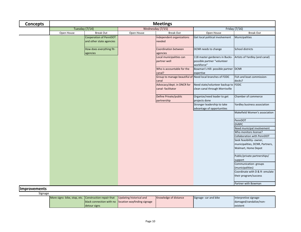| <b>Concepts</b> |                |                                                    |                  | <b>Meetings</b>                                                   |                                                                             |                                                     |
|-----------------|----------------|----------------------------------------------------|------------------|-------------------------------------------------------------------|-----------------------------------------------------------------------------|-----------------------------------------------------|
|                 | Tuesday (7/14) |                                                    | Wednesday (7/15) |                                                                   |                                                                             | Friday (7/16)                                       |
|                 | Open House     | <b>Break Out</b>                                   | Open House       | <b>Break Out</b>                                                  | Open House                                                                  | <b>Break Out</b>                                    |
|                 |                | Cooperation of PennDOT<br>and other state agencies |                  | Independent organizations<br>needed                               | Get local political involvement                                             | Municipalities                                      |
|                 |                | How does everything fit-<br>agencies               |                  | <b>Coordination between</b><br>agencies                           | DCNR needs to change                                                        | <b>School districts</b>                             |
|                 |                |                                                    |                  | Local municipalities can<br>partner well                          | 118 master gardeners in Bucks-<br>possible partner "volunteer<br>workforce" | Artists of Yardley (and canal)                      |
|                 |                |                                                    |                  | Who is accountable for the<br>canal?                              | Bowman's Hill- possible partner DCNR<br>expertise                           |                                                     |
|                 |                |                                                    |                  | Group to manage beautiful of Need local branches of FODC<br>canal |                                                                             | Fish and boat commission-<br>docks?                 |
|                 |                |                                                    |                  | Advocacy/dept. in DNCR for<br>canal-facilitator                   | Need state/volunteer backup to FODC<br>clean canal through Morrisville      |                                                     |
|                 |                |                                                    |                  | Define Private/public<br>partnership                              | Organize/need leader to get<br>projects done                                | Chamber of commerce                                 |
|                 |                |                                                    |                  |                                                                   | Stronger leadership to take<br>advantage of opportunities                   | Yardley business association                        |
|                 |                |                                                    |                  |                                                                   |                                                                             | Makefield Women's association                       |
|                 |                |                                                    |                  |                                                                   |                                                                             | PennDOT                                             |
|                 |                |                                                    |                  |                                                                   |                                                                             | <b>DVRPC</b>                                        |
|                 |                |                                                    |                  |                                                                   |                                                                             | Need municipal involvement                          |
|                 |                |                                                    |                  |                                                                   |                                                                             | Who monitors license?<br>Collaboration with PennDOT |
|                 |                |                                                    |                  |                                                                   |                                                                             | Seek feasibility- owner,                            |
|                 |                |                                                    |                  |                                                                   |                                                                             | municipalities, DCNR, Partners,                     |
|                 |                |                                                    |                  |                                                                   |                                                                             | Walmart, Home Depot                                 |
|                 |                |                                                    |                  |                                                                   |                                                                             | Public/private partnerships/<br>support             |
|                 |                |                                                    |                  |                                                                   |                                                                             | Communication-groups<br>(municipalities)            |
|                 |                |                                                    |                  |                                                                   |                                                                             | Coordinate with D & R- emulate                      |
|                 |                |                                                    |                  |                                                                   |                                                                             | their program/success                               |
|                 |                |                                                    |                  |                                                                   |                                                                             | Partner with Bowman                                 |

**Improvements**

Signage

| More signs- bike, stop, etc. Construction repair that |              | Updating historical and                              | Knowledge of distance | Signage- car and bike | Interpretive signage-  |
|-------------------------------------------------------|--------------|------------------------------------------------------|-----------------------|-----------------------|------------------------|
|                                                       |              | black connection with no location wayfinding signage |                       |                       | damaged/vandalize/non- |
|                                                       | detour signs |                                                      |                       |                       | existent               |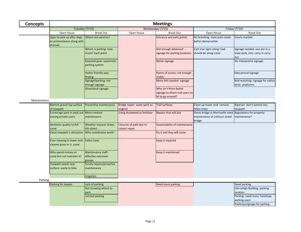| Concepts |                                                                        |                                                     |            | <b>Meetings</b>                                                                |                                                     |                                                                        |
|----------|------------------------------------------------------------------------|-----------------------------------------------------|------------|--------------------------------------------------------------------------------|-----------------------------------------------------|------------------------------------------------------------------------|
|          | Tuesday $(7/14)$                                                       |                                                     |            | Wednesday (7/15)                                                               |                                                     | Friday (7/16)                                                          |
|          | Open House                                                             | <b>Break Out</b>                                    | Open House | Break Out                                                                      | Open House                                          | <b>Break Out</b>                                                       |
|          | Signs to pick up after dogs-<br>to protect/leave along wild<br>animals | Where are services?                                 |            | <b>Entrance and exits points</b>                                               | No branding-state park needs<br>better demarcation  | Poorly marked                                                          |
|          |                                                                        | Where is parking- how<br>much? Each point           |            | Not enough advanced<br>signage for parking locations                           | Cast iron signs along road<br>should be along canal | Signage needed-you are in a<br>state park, info, carry in carry<br>out |
|          |                                                                        | <b>Essential goal- systematic</b><br>parking system |            | Better signage                                                                 |                                                     | No interpretive signage                                                |
|          |                                                                        | Visitor friendly way<br>finding                     |            | Points of access- not enough<br>visible                                        |                                                     | <b>Educational signage</b>                                             |
|          |                                                                        | Signage/parking-not<br>enough signage               |            | More info needed- signage                                                      |                                                     | Bird watching- signage for native<br>birds- platforms                  |
|          |                                                                        | Directional signage                                 |            | Why isn't there better<br>signage to divert trail users to<br>NJ to go around? |                                                     |                                                                        |

Maintenance

| Restore gravel top surface                        | Preventive maintenance   | Bridge repair-same spirit as | <b>Trail surfaces</b>         | Clean up tower end- remove                                | Riparian-don't extend into |
|---------------------------------------------------|--------------------------|------------------------------|-------------------------------|-----------------------------------------------------------|----------------------------|
| of towpath                                        |                          | original                     |                               | fallen trees                                              | towpath                    |
| Encourage pack in pack out More creative          |                          | Using duckweed as fertilizer | Repairs that will last        | Stone bridge in Morrisville need Regulations for property |                            |
| among private users                               | Imaintenance             |                              |                               | maintenance at Colhoun street                             | maintenance?               |
|                                                   |                          |                              |                               | bridge                                                    |                            |
| Aesthetic quality to full                         | Weather impacts (trees,  | Closures of path due to      | Sustainability of maintenance |                                                           |                            |
| canal                                             | hill slides)             | culvert repair               |                               |                                                           |                            |
| Clean towpath is attractive Who coordinates work? |                          |                              | Fix it and they will come     |                                                           |                            |
|                                                   |                          |                              |                               |                                                           |                            |
| Poor mowing in lower end- Fallen trees            |                          |                              | Keep it repaired              |                                                           |                            |
| cleaner grass in U. canal                         |                          |                              |                               |                                                           |                            |
|                                                   |                          |                              |                               |                                                           |                            |
| Why spend money on                                | Maintenance staff-       |                              | Keep it maintained            |                                                           |                            |
| canal but not maintain it?                        | effective volunteer      |                              |                               |                                                           |                            |
|                                                   | groups                   |                              |                               |                                                           |                            |
| Towpath needs new                                 | Timely repairs/proactive |                              |                               |                                                           |                            |
| surface-easily to bike                            | maintenance              |                              |                               |                                                           |                            |
|                                                   |                          |                              |                               |                                                           |                            |
|                                                   | Irrigation               |                              |                               |                                                           |                            |

Parking

| Parking for kayaks | Lack of parking      | Need more parking | Need parking                  |
|--------------------|----------------------|-------------------|-------------------------------|
|                    | Not knowing where to |                   | Old Lehigh Building-parking   |
|                    | <b>I</b> park        |                   | <b>I</b> location             |
|                    | Limited parking      |                   | Parking- need more- handicap  |
|                    |                      |                   | parking users                 |
|                    |                      |                   | Publicity/signage for parking |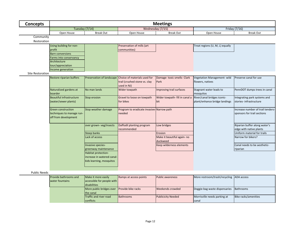| <b>Concepts</b>         |                           |                                                  |                                              | <b>Meetings</b>                |                                 |                                   |  |
|-------------------------|---------------------------|--------------------------------------------------|----------------------------------------------|--------------------------------|---------------------------------|-----------------------------------|--|
|                         | Tuesday (7/14)            |                                                  | Wednesday (7/15)                             |                                |                                 | Friday (7/16)                     |  |
|                         | Open House                | <b>Break Out</b>                                 | Open House                                   | <b>Break Out</b>               | Open House                      | <b>Break Out</b>                  |  |
| Community               |                           |                                                  |                                              |                                |                                 |                                   |  |
| Restoration             |                           |                                                  |                                              |                                |                                 |                                   |  |
|                         | Using building for non-   |                                                  | Preservation of mills (art                   |                                | Treat regions (U, M, L) equally |                                   |  |
|                         | profit                    |                                                  | communities)                                 |                                |                                 |                                   |  |
|                         | <b>Barn conversions</b>   |                                                  |                                              |                                |                                 |                                   |  |
|                         | Farms into conservancy    |                                                  |                                              |                                |                                 |                                   |  |
|                         | Architecture              |                                                  |                                              |                                |                                 |                                   |  |
|                         | tour/appreciation         |                                                  |                                              |                                |                                 |                                   |  |
|                         | Income generation         |                                                  |                                              |                                |                                 |                                   |  |
| <b>Site Restoration</b> |                           |                                                  |                                              |                                |                                 |                                   |  |
|                         | Restore riparian buffers  | Preservation of landscape                        | Choice of materials used for                 | Damage-toxic smells- Clark     | Vegetation Management- wild     | Preserve canal for use            |  |
|                         |                           |                                                  | trail (crushed stone vs. clay<br>used in NJ) | Park                           | flowers, natives                |                                   |  |
|                         | Naturalized gardens at    | No man lands                                     | Wider towpath                                | Improving trail surfaces       | Stagnant water leads to         | PennDOT dumps trees in canal      |  |
|                         | boarder                   |                                                  |                                              |                                | mosquitos                       |                                   |  |
|                         | Beautiful infrastructure  | <b>Stop erosion</b>                              | Gravel to loose on towpath                   | Wider towpath- fill in canal a | River/canal bridges iconic-     | Integrating park systems and      |  |
|                         | (water/sewer plants)      |                                                  | for bikes                                    | bit                            | plant/enhance bridge landings   | stories-infrastructure            |  |
|                         |                           |                                                  |                                              |                                |                                 |                                   |  |
|                         | <b>Green construction</b> | Stop weather damage                              | Program to eradicate invasive-Narrow path    |                                |                                 | Increase number of trail tenders- |  |
|                         | techniques to manage run- |                                                  | needed                                       |                                |                                 | sponsors for trail sections       |  |
|                         | off from development      |                                                  |                                              |                                |                                 |                                   |  |
|                         |                           |                                                  |                                              |                                |                                 |                                   |  |
|                         |                           | over grown-veg/insects                           | Daffodil planting program                    | Low bridges                    |                                 | Riparian buffer along water's     |  |
|                         |                           |                                                  | recommended                                  |                                |                                 | edge with native plants           |  |
|                         |                           | <b>Steep banks</b>                               |                                              | Erosion                        |                                 | Uniform material for trails       |  |
|                         |                           | Lack of access                                   |                                              | Make it beautiful again- no    |                                 | Narrow for bikers?                |  |
|                         |                           |                                                  |                                              | duckweed                       |                                 |                                   |  |
|                         |                           | Invasive species-                                |                                              | Keep wilderness elements       |                                 | Canal needs to be aesthetic-      |  |
|                         |                           | greenway maintenance                             |                                              |                                |                                 | riparian                          |  |
|                         |                           | Habitat protection-<br>increase in watered canal |                                              |                                |                                 |                                   |  |
|                         |                           | kids learning, mosquitos                         |                                              |                                |                                 |                                   |  |
|                         |                           |                                                  |                                              |                                |                                 |                                   |  |
|                         |                           |                                                  |                                              |                                |                                 |                                   |  |
|                         |                           |                                                  |                                              |                                |                                 |                                   |  |

## Public Needs

| <b>Provide bathrooms and</b> | Make it more easily           | Ramps at access points    | <b>Public awareness</b>   | More restroom/trash/recycling ADA access |                      |
|------------------------------|-------------------------------|---------------------------|---------------------------|------------------------------------------|----------------------|
| water fountains              | accessible for people with    |                           |                           |                                          |                      |
|                              | <b>disabilities</b>           |                           |                           |                                          |                      |
|                              | More public bridges over      | <b>Provide bike racks</b> | Weekends crowded          | Doggie-bag waste dispensaries            | Bathrooms            |
| the canal                    |                               |                           |                           |                                          |                      |
|                              | <b>Traffic and river road</b> | <b>Bathrooms</b>          | <b>Publicicity Needed</b> | Morrisville needs parking at             | Bike racks/amenities |
|                              | <b>conflicts</b>              |                           |                           | <b>Canal</b>                             |                      |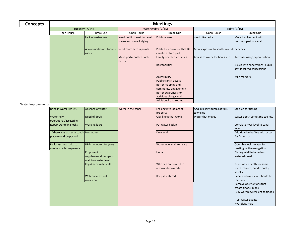| <b>Concepts</b> |            |                                        |                                                        | <b>Meetings</b>                                       |                                       |                                                              |
|-----------------|------------|----------------------------------------|--------------------------------------------------------|-------------------------------------------------------|---------------------------------------|--------------------------------------------------------------|
|                 |            | Tuesday $(7/14)$                       |                                                        | Wednesday (7/15)                                      |                                       | Friday (7/16)                                                |
|                 | Open House | <b>Break Out</b>                       | Open House                                             | <b>Break Out</b>                                      | Open House                            | <b>Break Out</b>                                             |
|                 |            | Lack of restrooms                      | Need public transit to canal<br>towns and more lodging | <b>Public access</b>                                  | need bike racks                       | More involvement with<br>northern part of canal              |
|                 |            | Accommodations for new<br><b>users</b> | Need more access points                                | Publicity- education that DE<br>canal is a state park | More exposure to southern end Benches |                                                              |
|                 |            |                                        | Make porta-potties look<br>better                      | <b>Family oriented activities</b>                     | Access to water for boats, etc.       | Increase usage/appreciation                                  |
|                 |            |                                        |                                                        | <b>Rest facilities</b>                                |                                       | Issues with concessions- public<br>say-localized concessions |
|                 |            |                                        |                                                        | Accessibility                                         |                                       | Mile markers                                                 |
|                 |            |                                        |                                                        | <b>Public transit access</b>                          |                                       |                                                              |
|                 |            |                                        |                                                        | Better mapping and                                    |                                       |                                                              |
|                 |            |                                        |                                                        | community engagement                                  |                                       |                                                              |
|                 |            |                                        |                                                        | Better awareness for                                  |                                       |                                                              |
|                 |            |                                        |                                                        | activities along canal                                |                                       |                                                              |
|                 |            |                                        |                                                        | <b>Additional bathrooms</b>                           |                                       |                                                              |

#### Water Improvements

| Bring in water like D&R                                         | Absence of water                                              | Water in the canal | Leaking into adjacent<br>property         | Add auxiliary pumps at falls<br>township | Stocked for fishing                                                |
|-----------------------------------------------------------------|---------------------------------------------------------------|--------------------|-------------------------------------------|------------------------------------------|--------------------------------------------------------------------|
| Water fully<br>operational/accessible                           | Need of docks                                                 |                    | Clay lining that works                    | Water that moves                         | Water depth sometime too low                                       |
| <b>Repair crumbling locks</b>                                   | <b>Working locks</b>                                          |                    | Put water back in                         |                                          | Correlate river level to canal<br>level                            |
| If there was water in canal-ILow water<br>place would be packed |                                                               |                    | Dry canal                                 |                                          | Add riparian buffers with access<br>for fisherman                  |
| Fix locks- new locks to<br>create smaller segments              | UBE- no water for years                                       |                    | Water level maintenance                   |                                          | Operable locks- water for<br>boating, active navigation            |
|                                                                 | Proponent of<br>supplemental pumps to<br>maintain water level |                    | Leaks                                     |                                          | Fishing wildlife based on<br>watered canal                         |
|                                                                 | Kayak access difficult                                        |                    | Who can authorized to<br>remove duckweed? |                                          | Need water depth for some<br>users-canoes, paddle boats,<br>kayaks |
|                                                                 | Water access-not<br>consistent                                |                    | Keep it watered                           |                                          | Canal and river level should be<br>the same                        |
|                                                                 |                                                               |                    |                                           |                                          | Remove obstructions that<br>create floods- pipes                   |
|                                                                 |                                                               |                    |                                           |                                          | Fully watered/resilient to floods                                  |
|                                                                 |                                                               |                    |                                           |                                          | Test water quality<br><b>Hydrology map</b>                         |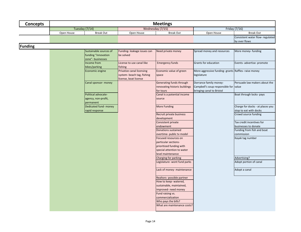| <b>Concepts</b> | <b>Meetings</b> |                                                                    |                                                                                  |                                                                                                                             |                                                                                              |                                                            |  |  |
|-----------------|-----------------|--------------------------------------------------------------------|----------------------------------------------------------------------------------|-----------------------------------------------------------------------------------------------------------------------------|----------------------------------------------------------------------------------------------|------------------------------------------------------------|--|--|
|                 |                 | Tuesday (7/14)                                                     | Wednesday (7/15)                                                                 |                                                                                                                             | Friday (7/16)                                                                                |                                                            |  |  |
|                 | Open House      | <b>Break Out</b>                                                   | Open House                                                                       | <b>Break Out</b>                                                                                                            | Open House                                                                                   | <b>Break Out</b>                                           |  |  |
|                 |                 |                                                                    |                                                                                  |                                                                                                                             |                                                                                              | Consistent water flow- regulated<br>by over flows          |  |  |
| <b>Funding</b>  |                 |                                                                    |                                                                                  |                                                                                                                             |                                                                                              |                                                            |  |  |
|                 |                 | Sustainable sources of<br>funding "innovation<br>zone"- businesses | Funding- leakage issues can<br>be solved                                         | Need private money                                                                                                          | Spread money and resources                                                                   | More money- funding                                        |  |  |
|                 |                 | Income from<br>bikes/parking                                       | License to use canal like<br>fishing                                             | <b>Emergency funds</b>                                                                                                      | Grants for education                                                                         | Events- advertise- promote                                 |  |  |
|                 |                 | Economic engine                                                    | Privatize canal licensing<br>system- beach tag, fishing<br>license, boat license | Economic value of green<br>space                                                                                            | More aggressive funding-grants Raffles-raise money<br>legislature                            |                                                            |  |  |
|                 |                 | Canal sponsor- money                                               |                                                                                  | Generating funds through<br>renovating historic buildings<br>for tours                                                      | Dorrance family money-<br>Campbell's soup responsible for value<br>bringing canal to Bristol | Persuade law makers about the                              |  |  |
|                 |                 | Political advocate-<br>agency, non-profit,<br>permanent            |                                                                                  | Canal is a potential income<br>source                                                                                       |                                                                                              | Boat through locks- pays                                   |  |  |
|                 |                 | Dedicated fund- money<br>rapid response                            |                                                                                  | More Funding                                                                                                                |                                                                                              | Charge for docks - at places you<br>stop to eat with docks |  |  |
|                 |                 |                                                                    |                                                                                  | Recruit private business<br>development                                                                                     |                                                                                              | Crowd source funding                                       |  |  |
|                 |                 |                                                                    |                                                                                  | Consistent private<br>endowment                                                                                             |                                                                                              | Tax credit incentives for<br>businesses to donate          |  |  |
|                 |                 |                                                                    |                                                                                  | <b>Donations sustained</b><br>overtime- public tv model                                                                     |                                                                                              | Funding from fish and boat<br>commission                   |  |  |
|                 |                 |                                                                    |                                                                                  | Focused resources on<br>particular sections-                                                                                |                                                                                              | Kayak tag number                                           |  |  |
|                 |                 |                                                                    |                                                                                  | prioritized funding with<br>special attention to water                                                                      |                                                                                              |                                                            |  |  |
|                 |                 |                                                                    |                                                                                  | level maintenance                                                                                                           |                                                                                              |                                                            |  |  |
|                 |                 |                                                                    |                                                                                  | Charging for parking<br>Legislature- wont fund parks                                                                        |                                                                                              | Advertising?<br>Adopt portion of canal                     |  |  |
|                 |                 |                                                                    |                                                                                  | Lack of money- maintenance                                                                                                  |                                                                                              | Adopt a canal                                              |  |  |
|                 |                 |                                                                    |                                                                                  | Realtors- possible partner<br>How to keep- watered,<br>sustainable, maintained,<br>improved- need money<br>Fund raising vs. |                                                                                              |                                                            |  |  |
|                 |                 |                                                                    |                                                                                  | commercialization<br>Who pays the bills?<br>What are maintenance costs?                                                     |                                                                                              |                                                            |  |  |